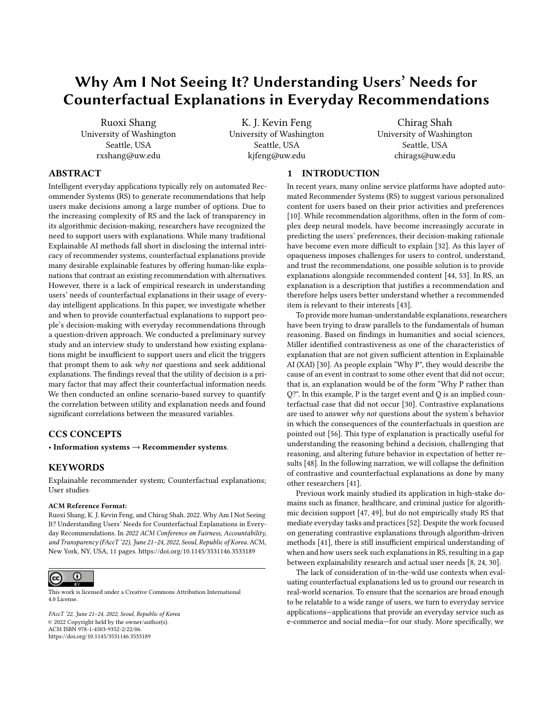# Why Am I Not Seeing It? Understanding Users' Needs for Counterfactual Explanations in Everyday Recommendations

Ruoxi Shang University of Washington Seattle, USA rxshang@uw.edu

K. J. Kevin Feng University of Washington Seattle, USA kjfeng@uw.edu

Chirag Shah University of Washington Seattle, USA chirags@uw.edu

# ABSTRACT

Intelligent everyday applications typically rely on automated Recommender Systems (RS) to generate recommendations that help users make decisions among a large number of options. Due to the increasing complexity of RS and the lack of transparency in its algorithmic decision-making, researchers have recognized the need to support users with explanations. While many traditional Explainable AI methods fall short in disclosing the internal intricacy of recommender systems, counterfactual explanations provide many desirable explainable features by offering human-like explanations that contrast an existing recommendation with alternatives. However, there is a lack of empirical research in understanding users' needs of counterfactual explanations in their usage of everyday intelligent applications. In this paper, we investigate whether and when to provide counterfactual explanations to support people's decision-making with everyday recommendations through a question-driven approach. We conducted a preliminary survey study and an interview study to understand how existing explanations might be insufficient to support users and elicit the triggers that prompt them to ask why not questions and seek additional explanations. The findings reveal that the utility of decision is a primary factor that may affect their counterfactual information needs. We then conducted an online scenario-based survey to quantify the correlation between utility and explanation needs and found significant correlations between the measured variables.

## CCS CONCEPTS

• Information systems  $\rightarrow$  Recommender systems.

## **KEYWORDS**

Explainable recommender system; Counterfactual explanations; User studies

#### ACM Reference Format:

Ruoxi Shang, K. J. Kevin Feng, and Chirag Shah. 2022. Why Am I Not Seeing It? Understanding Users' Needs for Counterfactual Explanations in Everyday Recommendations. In 2022 ACM Conference on Fairness, Accountability, and Transparency (FAccT '22), June 21–24, 2022, Seoul, Republic of Korea. ACM, New York, NY, USA, [11](#page-10-0) pages.<https://doi.org/10.1145/3531146.3533189>



This work is licensed under a [Creative Commons Attribution International](https://creativecommons.org/licenses/by/4.0/) [4.0 License.](https://creativecommons.org/licenses/by/4.0/)

FAccT '22, June 21–24, 2022, Seoul, Republic of Korea © 2022 Copyright held by the owner/author(s). ACM ISBN 978-1-4503-9352-2/22/06. <https://doi.org/10.1145/3531146.3533189>

## 1 INTRODUCTION

In recent years, many online service platforms have adopted automated Recommender Systems (RS) to suggest various personalized content for users based on their prior activities and preferences [\[10\]](#page-9-0). While recommendation algorithms, often in the form of complex deep neural models, have become increasingly accurate in predicting the users' preferences, their decision-making rationale have become even more difficult to explain [\[32\]](#page-10-1). As this layer of opaqueness imposes challenges for users to control, understand, and trust the recommendations, one possible solution is to provide explanations alongside recommended content [\[44,](#page-10-2) [53\]](#page-10-3). In RS, an explanation is a description that justifies a recommendation and therefore helps users better understand whether a recommended item is relevant to their interests [\[43\]](#page-10-4).

To provide more human-understandable explanations, researchers have been trying to draw parallels to the fundamentals of human reasoning. Based on findings in humanities and social sciences, Miller identified contrastiveness as one of the characteristics of explanation that are not given sufficient attention in Explainable AI (XAI) [\[30\]](#page-9-1). As people explain "Why P", they would describe the cause of an event in contrast to some other event that did not occur; that is, an explanation would be of the form "Why P rather than Q?". In this example, P is the target event and Q is an implied counterfactual case that did not occur [\[30\]](#page-9-1). Contrastive explanations are used to answer why not questions about the system's behavior in which the consequences of the counterfactuals in question are pointed out [\[56\]](#page-10-5). This type of explanation is practically useful for understanding the reasoning behind a decision, challenging that reasoning, and altering future behavior in expectation of better results [\[48\]](#page-10-6). In the following narration, we will collapse the definition of contrastive and counterfactual explanations as done by many other researchers [\[41\]](#page-10-7).

Previous work mainly studied its application in high-stake domains such as finance, healthcare, and criminal justice for algorithmic decision support [\[47,](#page-10-8) [49\]](#page-10-9), but do not empirically study RS that mediate everyday tasks and practices [\[52\]](#page-10-10). Despite the work focused on generating contrastive explanations through algorithm-driven methods [\[41\]](#page-10-7), there is still insufficient empirical understanding of when and how users seek such explanations in RS, resulting in a gap between explainability research and actual user needs [\[8,](#page-9-2) [24,](#page-9-3) [30\]](#page-9-1).

The lack of consideration of in-the-wild use contexts when evaluating counterfactual explanations led us to ground our research in real-world scenarios. To ensure that the scenarios are broad enough to be relatable to a wide range of users, we turn to everyday service applications—applications that provide an everyday service such as e-commerce and social media—for our study. More specifically, we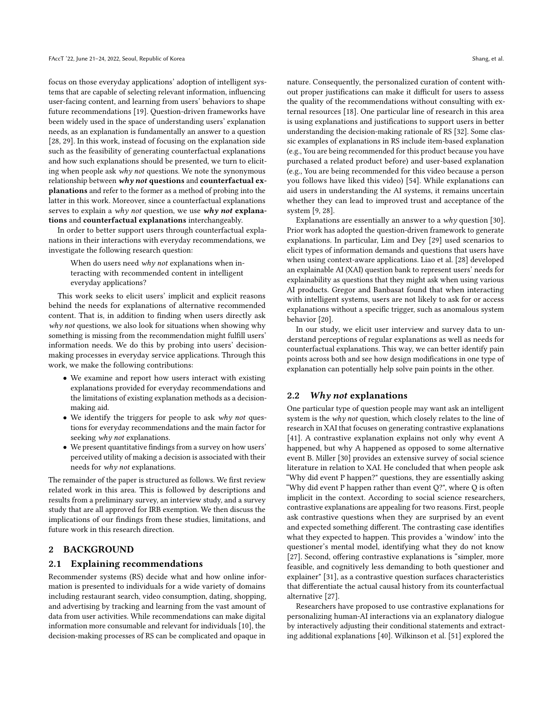focus on those everyday applications' adoption of intelligent systems that are capable of selecting relevant information, influencing user-facing content, and learning from users' behaviors to shape future recommendations [\[19\]](#page-9-4). Question-driven frameworks have been widely used in the space of understanding users' explanation needs, as an explanation is fundamentally an answer to a question [\[28,](#page-9-5) [29\]](#page-9-6). In this work, instead of focusing on the explanation side such as the feasibility of generating counterfactual explanations and how such explanations should be presented, we turn to eliciting when people ask why not questions. We note the synonymous relationship between why not questions and counterfactual explanations and refer to the former as a method of probing into the latter in this work. Moreover, since a counterfactual explanations serves to explain a why not question, we use why not explanations and counterfactual explanations interchangeably.

In order to better support users through counterfactual explanations in their interactions with everyday recommendations, we investigate the following research question:

When do users need why not explanations when interacting with recommended content in intelligent everyday applications?

This work seeks to elicit users' implicit and explicit reasons behind the needs for explanations of alternative recommended content. That is, in addition to finding when users directly ask why not questions, we also look for situations when showing why something is missing from the recommendation might fulfill users' information needs. We do this by probing into users' decisionmaking processes in everyday service applications. Through this work, we make the following contributions:

- We examine and report how users interact with existing explanations provided for everyday recommendations and the limitations of existing explanation methods as a decisionmaking aid.
- We identify the triggers for people to ask why not questions for everyday recommendations and the main factor for seeking why not explanations.
- We present quantitative findings from a survey on how users' perceived utility of making a decision is associated with their needs for why not explanations.

The remainder of the paper is structured as follows. We first review related work in this area. This is followed by descriptions and results from a preliminary survey, an interview study, and a survey study that are all approved for IRB exemption. We then discuss the implications of our findings from these studies, limitations, and future work in this research direction.

# 2 BACKGROUND

#### 2.1 Explaining recommendations

Recommender systems (RS) decide what and how online information is presented to individuals for a wide variety of domains including restaurant search, video consumption, dating, shopping, and advertising by tracking and learning from the vast amount of data from user activities. While recommendations can make digital information more consumable and relevant for individuals [\[10\]](#page-9-0), the decision-making processes of RS can be complicated and opaque in

nature. Consequently, the personalized curation of content without proper justifications can make it difficult for users to assess the quality of the recommendations without consulting with external resources [\[18\]](#page-9-7). One particular line of research in this area is using explanations and justifications to support users in better understanding the decision-making rationale of RS [\[32\]](#page-10-1). Some classic examples of explanations in RS include item-based explanation (e.g., You are being recommended for this product because you have purchased a related product before) and user-based explanation (e.g., You are being recommended for this video because a person you follows have liked this video) [\[54\]](#page-10-11). While explanations can aid users in understanding the AI systems, it remains uncertain whether they can lead to improved trust and acceptance of the system [\[9,](#page-9-8) [28\]](#page-9-5).

Explanations are essentially an answer to a why question [\[30\]](#page-9-1). Prior work has adopted the question-driven framework to generate explanations. In particular, Lim and Dey [\[29\]](#page-9-6) used scenarios to elicit types of information demands and questions that users have when using context-aware applications. Liao et al. [\[28\]](#page-9-5) developed an explainable AI (XAI) question bank to represent users' needs for explainability as questions that they might ask when using various AI products. Gregor and Banbasat found that when interacting with intelligent systems, users are not likely to ask for or access explanations without a specific trigger, such as anomalous system behavior [\[20\]](#page-9-9).

In our study, we elicit user interview and survey data to understand perceptions of regular explanations as well as needs for counterfactual explanations. This way, we can better identify pain points across both and see how design modifications in one type of explanation can potentially help solve pain points in the other.

#### 2.2 Why not explanations

One particular type of question people may want ask an intelligent system is the why not question, which closely relates to the line of research in XAI that focuses on generating contrastive explanations [\[41\]](#page-10-7). A contrastive explanation explains not only why event A happened, but why A happened as opposed to some alternative event B. Miller [\[30\]](#page-9-1) provides an extensive survey of social science literature in relation to XAI. He concluded that when people ask "Why did event P happen?" questions, they are essentially asking "Why did event P happen rather than event Q?", where Q is often implicit in the context. According to social science researchers, contrastive explanations are appealing for two reasons. First, people ask contrastive questions when they are surprised by an event and expected something different. The contrasting case identifies what they expected to happen. This provides a 'window' into the questioner's mental model, identifying what they do not know [\[27\]](#page-9-10). Second, offering contrastive explanations is "simpler, more feasible, and cognitively less demanding to both questioner and explainer" [\[31\]](#page-10-12), as a contrastive question surfaces characteristics that differentiate the actual causal history from its counterfactual alternative [\[27\]](#page-9-10).

Researchers have proposed to use contrastive explanations for personalizing human-AI interactions via an explanatory dialogue by interactively adjusting their conditional statements and extracting additional explanations [\[40\]](#page-10-13). Wilkinson et al. [\[51\]](#page-10-14) explored the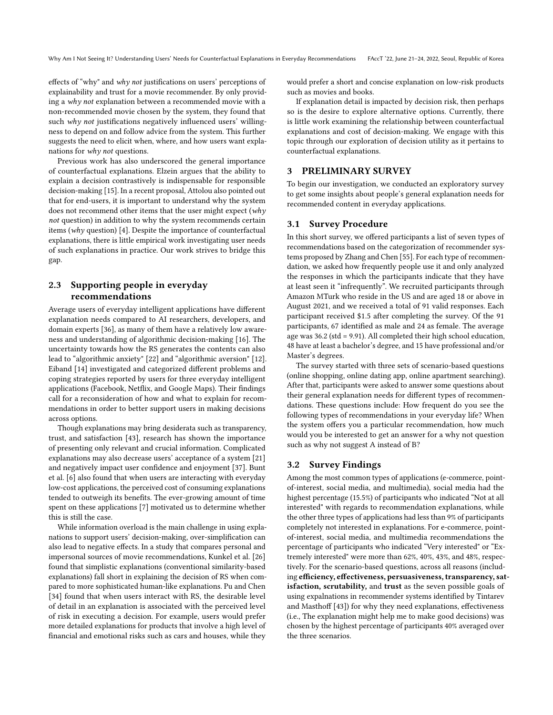Why Am I Not Seeing It? Understanding Users' Needs for Counterfactual Explanations in Everyday Recommendations FAccT '22, June 21-24, 2022, Seoul, Republic of Korea

effects of "why" and why not justifications on users' perceptions of explainability and trust for a movie recommender. By only providing a why not explanation between a recommended movie with a non-recommended movie chosen by the system, they found that such why not justifications negatively influenced users' willingness to depend on and follow advice from the system. This further suggests the need to elicit when, where, and how users want explanations for why not questions.

Previous work has also underscored the general importance of counterfactual explanations. Elzein argues that the ability to explain a decision contrastively is indispensable for responsible decision-making [\[15\]](#page-9-11). In a recent proposal, Attolou also pointed out that for end-users, it is important to understand why the system does not recommend other items that the user might expect (why not question) in addition to why the system recommends certain items (why question) [\[4\]](#page-9-12). Despite the importance of counterfactual explanations, there is little empirical work investigating user needs of such explanations in practice. Our work strives to bridge this gap.

# 2.3 Supporting people in everyday recommendations

Average users of everyday intelligent applications have different explanation needs compared to AI researchers, developers, and domain experts [\[36\]](#page-10-15), as many of them have a relatively low awareness and understanding of algorithmic decision-making [\[16\]](#page-9-13). The uncertainty towards how the RS generates the contents can also lead to "algorithmic anxiety" [\[22\]](#page-9-14) and "algorithmic aversion" [\[12\]](#page-9-15). Eiband [\[14\]](#page-9-16) investigated and categorized different problems and coping strategies reported by users for three everyday intelligent applications (Facebook, Netflix, and Google Maps). Their findings call for a reconsideration of how and what to explain for recommendations in order to better support users in making decisions across options.

Though explanations may bring desiderata such as transparency, trust, and satisfaction [\[43\]](#page-10-4), research has shown the importance of presenting only relevant and crucial information. Complicated explanations may also decrease users' acceptance of a system [\[21\]](#page-9-17) and negatively impact user confidence and enjoyment [\[37\]](#page-10-16). Bunt et al. [\[6\]](#page-9-18) also found that when users are interacting with everyday low-cost applications, the perceived cost of consuming explanations tended to outweigh its benefits. The ever-growing amount of time spent on these applications [\[7\]](#page-9-19) motivated us to determine whether this is still the case.

While information overload is the main challenge in using explanations to support users' decision-making, over-simplification can also lead to negative effects. In a study that compares personal and impersonal sources of movie recommendations, Kunkel et al. [\[26\]](#page-9-20) found that simplistic explanations (conventional similarity-based explanations) fall short in explaining the decision of RS when compared to more sophisticated human-like explanations. Pu and Chen [\[34\]](#page-10-17) found that when users interact with RS, the desirable level of detail in an explanation is associated with the perceived level of risk in executing a decision. For example, users would prefer more detailed explanations for products that involve a high level of financial and emotional risks such as cars and houses, while they

would prefer a short and concise explanation on low-risk products such as movies and books.

If explanation detail is impacted by decision risk, then perhaps so is the desire to explore alternative options. Currently, there is little work examining the relationship between counterfactual explanations and cost of decision-making. We engage with this topic through our exploration of decision utility as it pertains to counterfactual explanations.

## 3 PRELIMINARY SURVEY

To begin our investigation, we conducted an exploratory survey to get some insights about people's general explanation needs for recommended content in everyday applications.

## 3.1 Survey Procedure

In this short survey, we offered participants a list of seven types of recommendations based on the categorization of recommender systems proposed by Zhang and Chen [\[55\]](#page-10-18). For each type of recommendation, we asked how frequently people use it and only analyzed the responses in which the participants indicate that they have at least seen it "infrequently". We recruited participants through Amazon MTurk who reside in the US and are aged 18 or above in August 2021, and we received a total of 91 valid responses. Each participant received \$1.5 after completing the survey. Of the 91 participants, 67 identified as male and 24 as female. The average age was 36.2 (std = 9.91). All completed their high school education, 48 have at least a bachelor's degree, and 15 have professional and/or Master's degrees.

The survey started with three sets of scenario-based questions (online shopping, online dating app, online apartment searching). After that, participants were asked to answer some questions about their general explanation needs for different types of recommendations. These questions include: How frequent do you see the following types of recommendations in your everyday life? When the system offers you a particular recommendation, how much would you be interested to get an answer for a why not question such as why not suggest A instead of B?

## 3.2 Survey Findings

Among the most common types of applications (e-commerce, pointof-interest, social media, and multimedia), social media had the highest percentage (15.5%) of participants who indicated "Not at all interested" with regards to recommendation explanations, while the other three types of applications had less than 9% of participants completely not interested in explanations. For e-commerce, pointof-interest, social media, and multimedia recommendations the percentage of participants who indicated "Very interested" or "Extremely interested" were more than 62%, 40%, 43%, and 48%, respectively. For the scenario-based questions, across all reasons (including efficiency, effectiveness, persuasiveness, transparency, satisfaction, scrutability, and trust as the seven possible goals of using expalnations in recommender systems identified by Tintarev and Masthoff [\[43\]](#page-10-4)) for why they need explanations, effectiveness (i.e., The explanation might help me to make good decisions) was chosen by the highest percentage of participants 40% averaged over the three scenarios.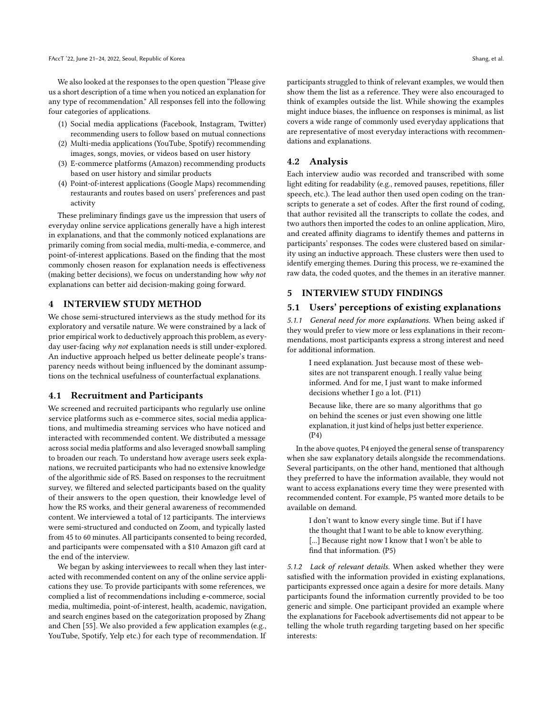We also looked at the responses to the open question "Please give us a short description of a time when you noticed an explanation for any type of recommendation." All responses fell into the following four categories of applications.

- (1) Social media applications (Facebook, Instagram, Twitter) recommending users to follow based on mutual connections
- (2) Multi-media applications (YouTube, Spotify) recommending images, songs, movies, or videos based on user history
- (3) E-commerce platforms (Amazon) recommending products based on user history and similar products
- (4) Point-of-interest applications (Google Maps) recommending restaurants and routes based on users' preferences and past activity

These preliminary findings gave us the impression that users of everyday online service applications generally have a high interest in explanations, and that the commonly noticed explanations are primarily coming from social media, multi-media, e-commerce, and point-of-interest applications. Based on the finding that the most commonly chosen reason for explanation needs is effectiveness (making better decisions), we focus on understanding how why not explanations can better aid decision-making going forward.

#### 4 INTERVIEW STUDY METHOD

We chose semi-structured interviews as the study method for its exploratory and versatile nature. We were constrained by a lack of prior empirical work to deductively approach this problem, as everyday user-facing why not explanation needs is still under-explored. An inductive approach helped us better delineate people's transparency needs without being influenced by the dominant assumptions on the technical usefulness of counterfactual explanations.

#### 4.1 Recruitment and Participants

We screened and recruited participants who regularly use online service platforms such as e-commerce sites, social media applications, and multimedia streaming services who have noticed and interacted with recommended content. We distributed a message across social media platforms and also leveraged snowball sampling to broaden our reach. To understand how average users seek explanations, we recruited participants who had no extensive knowledge of the algorithmic side of RS. Based on responses to the recruitment survey, we filtered and selected participants based on the quality of their answers to the open question, their knowledge level of how the RS works, and their general awareness of recommended content. We interviewed a total of 12 participants. The interviews were semi-structured and conducted on Zoom, and typically lasted from 45 to 60 minutes. All participants consented to being recorded, and participants were compensated with a \$10 Amazon gift card at the end of the interview.

We began by asking interviewees to recall when they last interacted with recommended content on any of the online service applications they use. To provide participants with some references, we complied a list of recommendations including e-commerce, social media, multimedia, point-of-interest, health, academic, navigation, and search engines based on the categorization proposed by Zhang and Chen [\[55\]](#page-10-18). We also provided a few application examples (e.g., YouTube, Spotify, Yelp etc.) for each type of recommendation. If

participants struggled to think of relevant examples, we would then show them the list as a reference. They were also encouraged to think of examples outside the list. While showing the examples might induce biases, the influence on responses is minimal, as list covers a wide range of commonly used everyday applications that are representative of most everyday interactions with recommendations and explanations.

## 4.2 Analysis

Each interview audio was recorded and transcribed with some light editing for readability (e.g., removed pauses, repetitions, filler speech, etc.). The lead author then used open coding on the transcripts to generate a set of codes. After the first round of coding, that author revisited all the transcripts to collate the codes, and two authors then imported the codes to an online application, Miro, and created affinity diagrams to identify themes and patterns in participants' responses. The codes were clustered based on similarity using an inductive approach. These clusters were then used to identify emerging themes. During this process, we re-examined the raw data, the coded quotes, and the themes in an iterative manner.

## 5 INTERVIEW STUDY FINDINGS

## 5.1 Users' perceptions of existing explanations

5.1.1 General need for more explanations. When being asked if they would prefer to view more or less explanations in their recommendations, most participants express a strong interest and need for additional information.

I need explanation. Just because most of these websites are not transparent enough. I really value being informed. And for me, I just want to make informed decisions whether I go a lot. (P11)

Because like, there are so many algorithms that go on behind the scenes or just even showing one little explanation, it just kind of helps just better experience. (P4)

In the above quotes, P4 enjoyed the general sense of transparency when she saw explanatory details alongside the recommendations. Several participants, on the other hand, mentioned that although they preferred to have the information available, they would not want to access explanations every time they were presented with recommended content. For example, P5 wanted more details to be available on demand.

I don't want to know every single time. But if I have the thought that I want to be able to know everything. [...] Because right now I know that I won't be able to find that information. (P5)

5.1.2 Lack of relevant details. When asked whether they were satisfied with the information provided in existing explanations, participants expressed once again a desire for more details. Many participants found the information currently provided to be too generic and simple. One participant provided an example where the explanations for Facebook advertisements did not appear to be telling the whole truth regarding targeting based on her specific interests: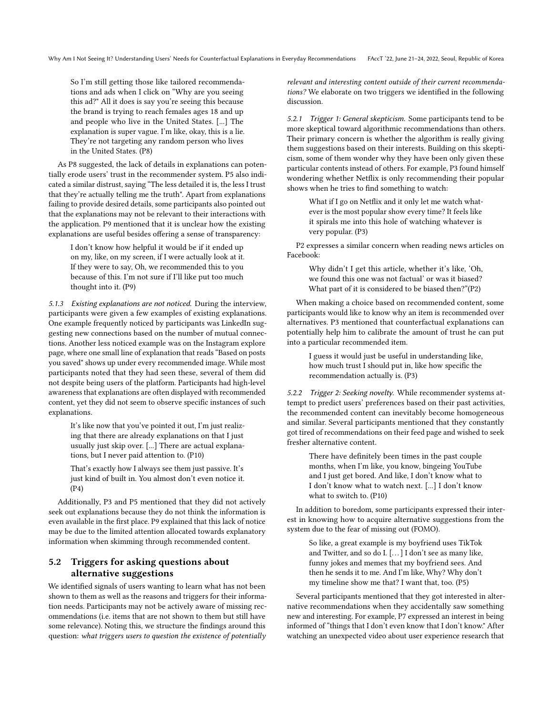So I'm still getting those like tailored recommendations and ads when I click on "Why are you seeing this ad?" All it does is say you're seeing this because the brand is trying to reach females ages 18 and up and people who live in the United States. [...] The explanation is super vague. I'm like, okay, this is a lie. They're not targeting any random person who lives in the United States. (P8)

As P8 suggested, the lack of details in explanations can potentially erode users' trust in the recommender system. P5 also indicated a similar distrust, saying "The less detailed it is, the less I trust that they're actually telling me the truth". Apart from explanations failing to provide desired details, some participants also pointed out that the explanations may not be relevant to their interactions with the application. P9 mentioned that it is unclear how the existing explanations are useful besides offering a sense of transparency:

I don't know how helpful it would be if it ended up on my, like, on my screen, if I were actually look at it. If they were to say, Oh, we recommended this to you because of this. I'm not sure if I'll like put too much thought into it. (P9)

5.1.3 Existing explanations are not noticed. During the interview, participants were given a few examples of existing explanations. One example frequently noticed by participants was LinkedIn suggesting new connections based on the number of mutual connections. Another less noticed example was on the Instagram explore page, where one small line of explanation that reads "Based on posts you saved" shows up under every recommended image. While most participants noted that they had seen these, several of them did not despite being users of the platform. Participants had high-level awareness that explanations are often displayed with recommended content, yet they did not seem to observe specific instances of such explanations.

It's like now that you've pointed it out, I'm just realizing that there are already explanations on that I just usually just skip over. [...] There are actual explanations, but I never paid attention to. (P10)

That's exactly how I always see them just passive. It's just kind of built in. You almost don't even notice it. (P4)

Additionally, P3 and P5 mentioned that they did not actively seek out explanations because they do not think the information is even available in the first place. P9 explained that this lack of notice may be due to the limited attention allocated towards explanatory information when skimming through recommended content.

# 5.2 Triggers for asking questions about alternative suggestions

We identified signals of users wanting to learn what has not been shown to them as well as the reasons and triggers for their information needs. Participants may not be actively aware of missing recommendations (i.e. items that are not shown to them but still have some relevance). Noting this, we structure the findings around this question: what triggers users to question the existence of potentially

relevant and interesting content outside of their current recommendations? We elaborate on two triggers we identified in the following discussion.

5.2.1 Trigger 1: General skepticism. Some participants tend to be more skeptical toward algorithmic recommendations than others. Their primary concern is whether the algorithm is really giving them suggestions based on their interests. Building on this skepticism, some of them wonder why they have been only given these particular contents instead of others. For example, P3 found himself wondering whether Netflix is only recommending their popular shows when he tries to find something to watch:

What if I go on Netflix and it only let me watch whatever is the most popular show every time? It feels like it spirals me into this hole of watching whatever is very popular. (P3)

P2 expresses a similar concern when reading news articles on Facebook:

Why didn't I get this article, whether it's like, 'Oh, we found this one was not factual' or was it biased? What part of it is considered to be biased then?"(P2)

When making a choice based on recommended content, some participants would like to know why an item is recommended over alternatives. P3 mentioned that counterfactual explanations can potentially help him to calibrate the amount of trust he can put into a particular recommended item.

I guess it would just be useful in understanding like, how much trust I should put in, like how specific the recommendation actually is. (P3)

5.2.2 Trigger 2: Seeking novelty. While recommender systems attempt to predict users' preferences based on their past activities, the recommended content can inevitably become homogeneous and similar. Several participants mentioned that they constantly got tired of recommendations on their feed page and wished to seek fresher alternative content.

There have definitely been times in the past couple months, when I'm like, you know, bingeing YouTube and I just get bored. And like, I don't know what to I don't know what to watch next. [...] I don't know what to switch to. (P10)

In addition to boredom, some participants expressed their interest in knowing how to acquire alternative suggestions from the system due to the fear of missing out (FOMO).

So like, a great example is my boyfriend uses TikTok and Twitter, and so do I. [...] I don't see as many like, funny jokes and memes that my boyfriend sees. And then he sends it to me. And I'm like, Why? Why don't my timeline show me that? I want that, too. (P5)

Several participants mentioned that they got interested in alternative recommendations when they accidentally saw something new and interesting. For example, P7 expressed an interest in being informed of "things that I don't even know that I don't know." After watching an unexpected video about user experience research that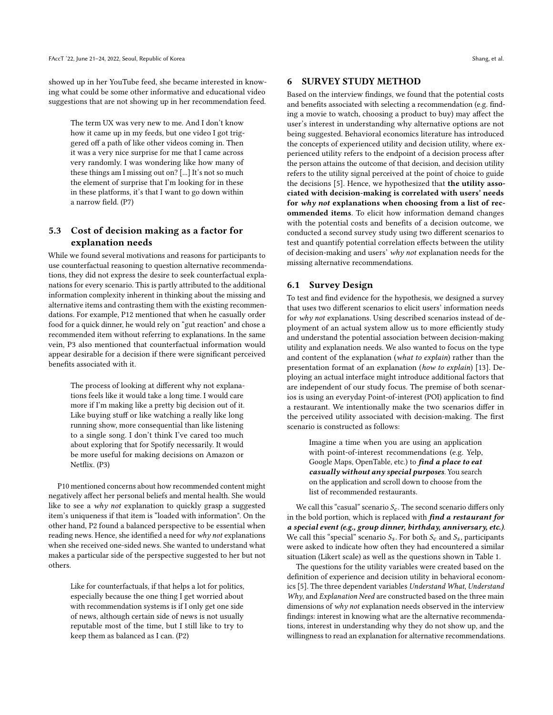showed up in her YouTube feed, she became interested in knowing what could be some other informative and educational video suggestions that are not showing up in her recommendation feed.

The term UX was very new to me. And I don't know how it came up in my feeds, but one video I got triggered off a path of like other videos coming in. Then it was a very nice surprise for me that I came across very randomly. I was wondering like how many of these things am I missing out on? [...] It's not so much the element of surprise that I'm looking for in these in these platforms, it's that I want to go down within a narrow field. (P7)

## 5.3 Cost of decision making as a factor for explanation needs

While we found several motivations and reasons for participants to use counterfactual reasoning to question alternative recommendations, they did not express the desire to seek counterfactual explanations for every scenario. This is partly attributed to the additional information complexity inherent in thinking about the missing and alternative items and contrasting them with the existing recommendations. For example, P12 mentioned that when he casually order food for a quick dinner, he would rely on "gut reaction" and chose a recommended item without referring to explanations. In the same vein, P3 also mentioned that counterfactual information would appear desirable for a decision if there were significant perceived benefits associated with it.

The process of looking at different why not explanations feels like it would take a long time. I would care more if I'm making like a pretty big decision out of it. Like buying stuff or like watching a really like long running show, more consequential than like listening to a single song. I don't think I've cared too much about exploring that for Spotify necessarily. It would be more useful for making decisions on Amazon or Netflix. (P3)

P10 mentioned concerns about how recommended content might negatively affect her personal beliefs and mental health. She would like to see a why not explanation to quickly grasp a suggested item's uniqueness if that item is "loaded with information". On the other hand, P2 found a balanced perspective to be essential when reading news. Hence, she identified a need for why not explanations when she received one-sided news. She wanted to understand what makes a particular side of the perspective suggested to her but not others.

Like for counterfactuals, if that helps a lot for politics, especially because the one thing I get worried about with recommendation systems is if I only get one side of news, although certain side of news is not usually reputable most of the time, but I still like to try to keep them as balanced as I can. (P2)

# 6 SURVEY STUDY METHOD

Based on the interview findings, we found that the potential costs and benefits associated with selecting a recommendation (e.g. finding a movie to watch, choosing a product to buy) may affect the user's interest in understanding why alternative options are not being suggested. Behavioral economics literature has introduced the concepts of experienced utility and decision utility, where experienced utility refers to the endpoint of a decision process after the person attains the outcome of that decision, and decision utility refers to the utility signal perceived at the point of choice to guide the decisions [\[5\]](#page-9-21). Hence, we hypothesized that the utility associated with decision-making is correlated with users' needs for why not explanations when choosing from a list of recommended items. To elicit how information demand changes with the potential costs and benefits of a decision outcome, we conducted a second survey study using two different scenarios to test and quantify potential correlation effects between the utility of decision-making and users' why not explanation needs for the missing alternative recommendations.

#### 6.1 Survey Design

To test and find evidence for the hypothesis, we designed a survey that uses two different scenarios to elicit users' information needs for why not explanations. Using described scenarios instead of deployment of an actual system allow us to more efficiently study and understand the potential association between decision-making utility and explanation needs. We also wanted to focus on the type and content of the explanation (what to explain) rather than the presentation format of an explanation (how to explain) [\[13\]](#page-9-22). Deploying an actual interface might introduce additional factors that are independent of our study focus. The premise of both scenarios is using an everyday Point-of-interest (POI) application to find a restaurant. We intentionally make the two scenarios differ in the perceived utility associated with decision-making. The first scenario is constructed as follows:

> Imagine a time when you are using an application with point-of-interest recommendations (e.g. Yelp, Google Maps, OpenTable, etc.) to find a place to eat casually without any special purposes. You search on the application and scroll down to choose from the list of recommended restaurants.

We call this "casual" scenario  $S_c$ . The second scenario differs only in the bold portion, which is replaced with find a restaurant for a special event (e.g., group dinner, birthday, anniversary, etc.). We call this "special" scenario  $S_s$ . For both  $S_c$  and  $S_s$ , participants were asked to indicate how often they had encountered a similar situation (Likert scale) as well as the questions shown in Table [1.](#page-7-0)

The questions for the utility variables were created based on the definition of experience and decision utility in behavioral economics [\[5\]](#page-9-21). The three dependent variables Understand What, Understand Why, and Explanation Need are constructed based on the three main dimensions of why not explanation needs observed in the interview findings: interest in knowing what are the alternative recommendations, interest in understanding why they do not show up, and the willingness to read an explanation for alternative recommendations.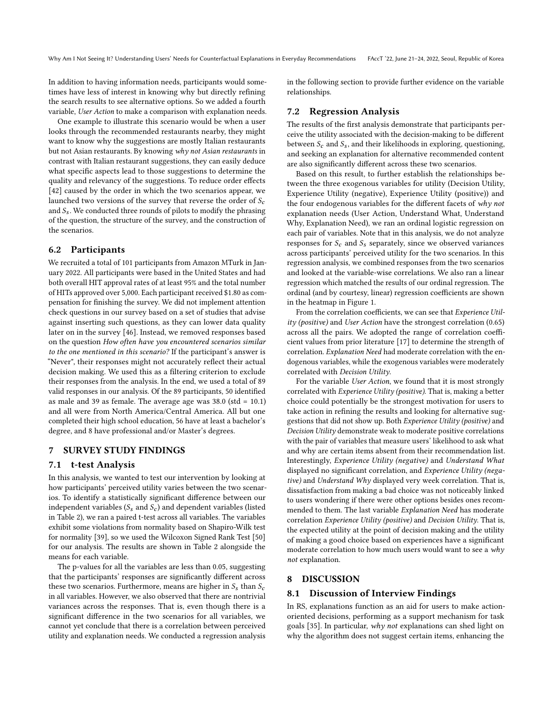In addition to having information needs, participants would sometimes have less of interest in knowing why but directly refining the search results to see alternative options. So we added a fourth variable, User Action to make a comparison with explanation needs.

One example to illustrate this scenario would be when a user looks through the recommended restaurants nearby, they might want to know why the suggestions are mostly Italian restaurants but not Asian restaurants. By knowing why not Asian restaurants in contrast with Italian restaurant suggestions, they can easily deduce what specific aspects lead to those suggestions to determine the quality and relevancy of the suggestions. To reduce order effects [\[42\]](#page-10-19) caused by the order in which the two scenarios appear, we launched two versions of the survey that reverse the order of  $S_c$ and  $S_s$ . We conducted three rounds of pilots to modify the phrasing of the question, the structure of the survey, and the construction of the scenarios.

## 6.2 Participants

We recruited a total of 101 participants from Amazon MTurk in January 2022. All participants were based in the United States and had both overall HIT approval rates of at least 95% and the total number of HITs approved over 5,000. Each participant received \$1.80 as compensation for finishing the survey. We did not implement attention check questions in our survey based on a set of studies that advise against inserting such questions, as they can lower data quality later on in the survey [\[46\]](#page-10-20). Instead, we removed responses based on the question How often have you encountered scenarios similar to the one mentioned in this scenario? If the participant's answer is "Never", their responses might not accurately reflect their actual decision making. We used this as a filtering criterion to exclude their responses from the analysis. In the end, we used a total of 89 valid responses in our analysis. Of the 89 participants, 50 identified as male and 39 as female. The average age was 38.0 (std = 10.1) and all were from North America/Central America. All but one completed their high school education, 56 have at least a bachelor's degree, and 8 have professional and/or Master's degrees.

## 7 SURVEY STUDY FINDINGS

## 7.1 t-test Analysis

In this analysis, we wanted to test our intervention by looking at how participants' perceived utility varies between the two scenarios. To identify a statistically significant difference between our independent variables ( $S_s$  and  $S_c$ ) and dependent variables (listed in Table [2\)](#page-7-1), we ran a paired t-test across all variables. The variables exhibit some violations from normality based on Shapiro-Wilk test for normality [\[39\]](#page-10-21), so we used the Wilcoxon Signed Rank Test [\[50\]](#page-10-22) for our analysis. The results are shown in Table [2](#page-7-1) alongside the means for each variable.

The p-values for all the variables are less than 0.05, suggesting that the participants' responses are significantly different across these two scenarios. Furthermore, means are higher in  $S_s$  than  $S_c$ in all variables. However, we also observed that there are nontrivial variances across the responses. That is, even though there is a significant difference in the two scenarios for all variables, we cannot yet conclude that there is a correlation between perceived utility and explanation needs. We conducted a regression analysis in the following section to provide further evidence on the variable relationships.

## 7.2 Regression Analysis

The results of the first analysis demonstrate that participants perceive the utility associated with the decision-making to be different between  $S_c$  and  $S_s$ , and their likelihoods in exploring, questioning, and seeking an explanation for alternative recommended content are also significantly different across these two scenarios.

Based on this result, to further establish the relationships between the three exogenous variables for utility (Decision Utility, Experience Utility (negative), Experience Utility (positive)) and the four endogenous variables for the different facets of why not explanation needs (User Action, Understand What, Understand Why, Explanation Need), we ran an ordinal logistic regression on each pair of variables. Note that in this analysis, we do not analyze responses for  $S_c$  and  $S_s$  separately, since we observed variances across participants' perceived utility for the two scenarios. In this regression analysis, we combined responses from the two scenarios and looked at the variable-wise correlations. We also ran a linear regression which matched the results of our ordinal regression. The ordinal (and by courtesy, linear) regression coefficients are shown in the heatmap in Figure [1.](#page-7-2)

From the correlation coefficients, we can see that Experience Utility (positive) and User Action have the strongest correlation (0.65) across all the pairs. We adopted the range of correlation coefficient values from prior literature [\[17\]](#page-9-23) to determine the strength of correlation. Explanation Need had moderate correlation with the endogenous variables, while the exogenous variables were moderately correlated with Decision Utility.

For the variable User Action, we found that it is most strongly correlated with Experience Utility (positive). That is, making a better choice could potentially be the strongest motivation for users to take action in refining the results and looking for alternative suggestions that did not show up. Both Experience Utility (positive) and Decision Utility demonstrate weak to moderate positive correlations with the pair of variables that measure users' likelihood to ask what and why are certain items absent from their recommendation list. Interestingly, Experience Utility (negative) and Understand What displayed no significant correlation, and Experience Utility (negative) and Understand Why displayed very week correlation. That is, dissatisfaction from making a bad choice was not noticeably linked to users wondering if there were other options besides ones recommended to them. The last variable Explanation Need has moderate correlation Experience Utility (positive) and Decision Utility. That is, the expected utility at the point of decision making and the utility of making a good choice based on experiences have a significant moderate correlation to how much users would want to see a why not explanation.

## 8 DISCUSSION

## 8.1 Discussion of Interview Findings

In RS, explanations function as an aid for users to make actionoriented decisions, performing as a support mechanism for task goals [\[35\]](#page-10-23). In particular, why not explanations can shed light on why the algorithm does not suggest certain items, enhancing the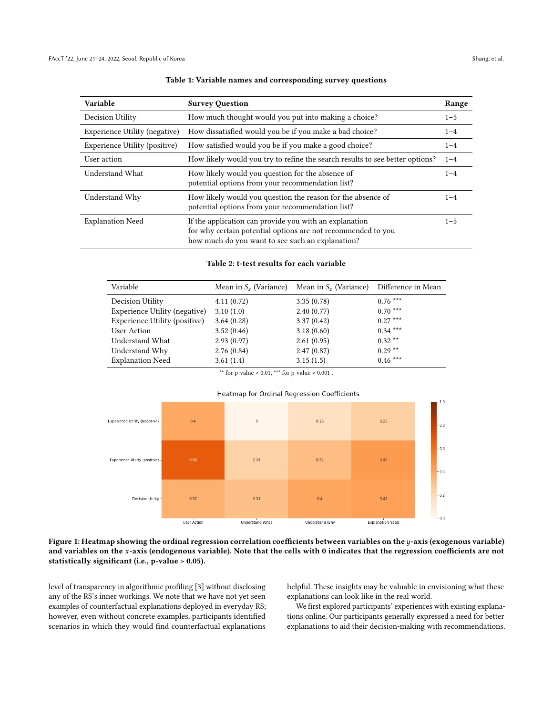<span id="page-7-0"></span>

| Variable                      | <b>Survey Question</b>                                                                                                                                                     |         |
|-------------------------------|----------------------------------------------------------------------------------------------------------------------------------------------------------------------------|---------|
| Decision Utility              | How much thought would you put into making a choice?                                                                                                                       |         |
| Experience Utility (negative) | How dissatisfied would you be if you make a bad choice?                                                                                                                    |         |
| Experience Utility (positive) | How satisfied would you be if you make a good choice?                                                                                                                      |         |
| User action                   | How likely would you try to refine the search results to see better options?                                                                                               |         |
| Understand What               | How likely would you question for the absence of<br>potential options from your recommendation list?                                                                       |         |
| Understand Why                | How likely would you question the reason for the absence of<br>potential options from your recommendation list?                                                            |         |
| <b>Explanation Need</b>       | If the application can provide you with an explanation<br>for why certain potential options are not recommended to you<br>how much do you want to see such an explanation? | $1 - 5$ |

#### Table 1: Variable names and corresponding survey questions

#### Table 2: t-test results for each variable

<span id="page-7-1"></span>

| Variable                      | Mean in $S_s$ (Variance) | Mean in $S_c$ (Variance) Difference in Mean |           |
|-------------------------------|--------------------------|---------------------------------------------|-----------|
| Decision Utility              | 4.11(0.72)               | 3.35(0.78)                                  | $0.76***$ |
| Experience Utility (negative) | 3.10(1.0)                | 2.40(0.77)                                  | $0.70***$ |
| Experience Utility (positive) | 3.64(0.28)               | 3.37(0.42)                                  | $0.27***$ |
| User Action                   | 3.52(0.46)               | 3.18(0.60)                                  | $0.34***$ |
| Understand What               | 2.93(0.97)               | 2.61(0.95)                                  | $0.32**$  |
| Understand Why                | 2.76(0.84)               | 2.47(0.87)                                  | $0.29**$  |
| <b>Explanation Need</b>       | 3.61(1.4)                | 3.15(1.5)                                   | $0.46***$ |

\*\* for p-value < 0.01, \*\*\* for p-value <  $0.001$  .



<span id="page-7-2"></span>

Figure 1: Heatmap showing the ordinal regression correlation coefficients between variables on the  $y$ -axis (exogenous variable) and variables on the x-axis (endogenous variable). Note that the cells with 0 indicates that the regression coefficients are not statistically significant (i.e., p-value > 0.05).

level of transparency in algorithmic profiling [\[3\]](#page-9-24) without disclosing any of the RS's inner workings. We note that we have not yet seen examples of counterfactual explanations deployed in everyday RS; however, even without concrete examples, participants identified scenarios in which they would find counterfactual explanations

helpful. These insights may be valuable in envisioning what these explanations can look like in the real world.

We first explored participants' experiences with existing explanations online. Our participants generally expressed a need for better explanations to aid their decision-making with recommendations.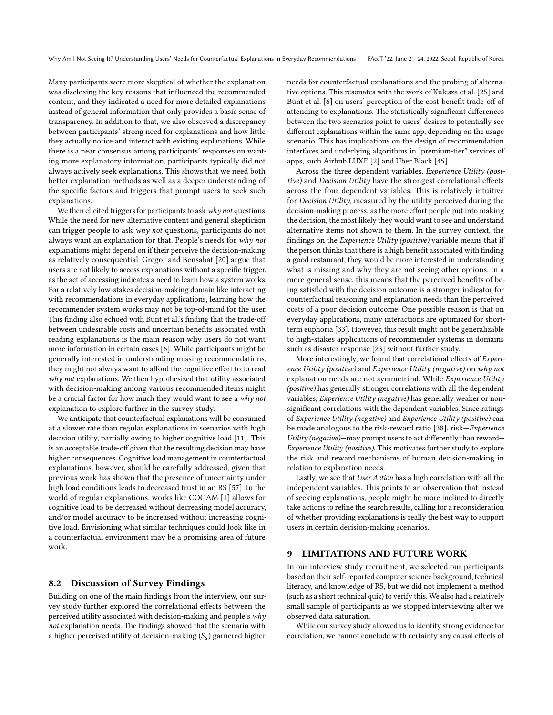Many participants were more skeptical of whether the explanation was disclosing the key reasons that influenced the recommended content, and they indicated a need for more detailed explanations instead of general information that only provides a basic sense of transparency. In addition to that, we also observed a discrepancy between participants' strong need for explanations and how little they actually notice and interact with existing explanations. While there is a near consensus among participants' responses on wanting more explanatory information, participants typically did not always actively seek explanations. This shows that we need both better explanation methods as well as a deeper understanding of the specific factors and triggers that prompt users to seek such explanations.

We then elicited triggers for participants to ask why not questions. While the need for new alternative content and general skepticism can trigger people to ask why not questions, participants do not always want an explanation for that. People's needs for why not explanations might depend on if their perceive the decision-making as relatively consequential. Gregor and Bensabat [\[20\]](#page-9-9) argue that users are not likely to access explanations without a specific trigger, as the act of accessing indicates a need to learn how a system works. For a relatively low-stakes decision-making domain like interacting with recommendations in everyday applications, learning how the recommender system works may not be top-of-mind for the user. This finding also echoed with Bunt et al.'s finding that the trade-off between undesirable costs and uncertain benefits associated with reading explanations is the main reason why users do not want more information in certain cases [\[6\]](#page-9-18). While participants might be generally interested in understanding missing recommendations, they might not always want to afford the cognitive effort to to read  $why$  not explanations. We then hypothesized that utility associated with decision-making among various recommended items might be a crucial factor for how much they would want to see a why not explanation to explore further in the survey study.

We anticipate that counterfactual explanations will be consumed at a slower rate than regular explanations in scenarios with high decision utility, partially owing to higher cognitive load [\[11\]](#page-9-25). This is an acceptable trade-off given that the resulting decision may have higher consequences. Cognitive load management in counterfactual explanations, however, should be carefully addressed, given that previous work has shown that the presence of uncertainty under high load conditions leads to decreased trust in an RS [\[57\]](#page-10-24). In the world of regular explanations, works like COGAM [\[1\]](#page-9-26) allows for cognitive load to be decreased without decreasing model accuracy, and/or model accuracy to be increased without increasing cognitive load. Envisioning what similar techniques could look like in a counterfactual environment may be a promising area of future work.

## 8.2 Discussion of Survey Findings

Building on one of the main findings from the interview, our survey study further explored the correlational effects between the perceived utility associated with decision-making and people's why not explanation needs. The findings showed that the scenario with a higher perceived utility of decision-making  $(S_s)$  garnered higher

needs for counterfactual explanations and the probing of alternative options. This resonates with the work of Kulesza et al. [\[25\]](#page-9-27) and Bunt et al. [\[6\]](#page-9-18) on users' perception of the cost-benefit trade-off of attending to explanations. The statistically significant differences between the two scenarios point to users' desires to potentially see different explanations within the same app, depending on the usage scenario. This has implications on the design of recommendation interfaces and underlying algorithms in "premium-tier" services of apps, such Airbnb LUXE [\[2\]](#page-9-28) and Uber Black [\[45\]](#page-10-25).

Across the three dependent variables, Experience Utility (positive) and Decision Utility have the strongest correlational effects across the four dependent variables. This is relatively intuitive for Decision Utility, measured by the utility perceived during the decision-making process, as the more effort people put into making the decision, the most likely they would want to see and understand alternative items not shown to them. In the survey context, the findings on the Experience Utility (positive) variable means that if the person thinks that there is a high benefit associated with finding a good restaurant, they would be more interested in understanding what is missing and why they are not seeing other options. In a more general sense, this means that the perceived benefits of being satisfied with the decision outcome is a stronger indicator for counterfactual reasoning and explanation needs than the perceived costs of a poor decision outcome. One possible reason is that on everyday applications, many interactions are optimized for shortterm euphoria [\[33\]](#page-10-26). However, this result might not be generalizable to high-stakes applications of recommender systems in domains such as disaster response [\[23\]](#page-9-29) without further study.

More interestingly, we found that correlational effects of Experience Utility (positive) and Experience Utility (negative) on why not explanation needs are not symmetrical. While Experience Utility (positive) has generally stronger correlations with all the dependent variables, Experience Utility (negative) has generally weaker or nonsignificant correlations with the dependent variables. Since ratings of Experience Utility (negative) and Experience Utility (positive) can be made analogous to the risk-reward ratio [\[38\]](#page-10-27), risk—Experience Utility (negative)—may prompt users to act differently than reward— Experience Utility (positive). This motivates further study to explore the risk and reward mechanisms of human decision-making in relation to explanation needs.

Lastly, we see that User Action has a high correlation with all the independent variables. This points to an observation that instead of seeking explanations, people might be more inclined to directly take actions to refine the search results, calling for a reconsideration of whether providing explanations is really the best way to support users in certain decision-making scenarios.

#### 9 LIMITATIONS AND FUTURE WORK

In our interview study recruitment, we selected our participants based on their self-reported computer science background, technical literacy, and knowledge of RS, but we did not implement a method (such as a short technical quiz) to verify this. We also had a relatively small sample of participants as we stopped interviewing after we observed data saturation.

While our survey study allowed us to identify strong evidence for correlation, we cannot conclude with certainty any causal effects of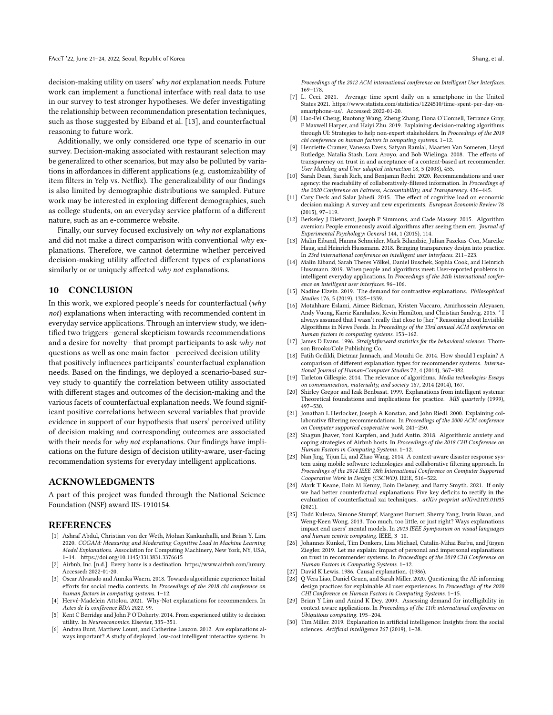decision-making utility on users' why not explanation needs. Future work can implement a functional interface with real data to use in our survey to test stronger hypotheses. We defer investigating the relationship between recommendation presentation techniques, such as those suggested by Eiband et al. [\[13\]](#page-9-22), and counterfactual reasoning to future work.

Additionally, we only considered one type of scenario in our survey. Decision-making associated with restaurant selection may be generalized to other scenarios, but may also be polluted by variations in affordances in different applications (e.g. customizability of item filters in Yelp vs. Netflix). The generalizability of our findings is also limited by demographic distributions we sampled. Future work may be interested in exploring different demographics, such as college students, on an everyday service platform of a different nature, such as an e-commerce website.

Finally, our survey focused exclusively on why not explanations and did not make a direct comparison with conventional  $why$  explanations. Therefore, we cannot determine whether perceived decision-making utility affected different types of explanations similarly or or uniquely affected why not explanations.

## 10 CONCLUSION

In this work, we explored people's needs for counterfactual (why not) explanations when interacting with recommended content in everyday service applications. Through an interview study, we identified two triggers—general skepticism towards recommendations and a desire for novelty—that prompt participants to ask why not questions as well as one main factor—perceived decision utility that positively influences participants' counterfactual explanation needs. Based on the findings, we deployed a scenario-based survey study to quantify the correlation between utility associated with different stages and outcomes of the decision-making and the various facets of counterfactual explanation needs. We found significant positive correlations between several variables that provide evidence in support of our hypothesis that users' perceived utility of decision making and corresponding outcomes are associated with their needs for why not explanations. Our findings have implications on the future design of decision utility-aware, user-facing recommendation systems for everyday intelligent applications.

## ACKNOWLEDGMENTS

A part of this project was funded through the National Science Foundation (NSF) award IIS-1910154.

## **REFERENCES**

- <span id="page-9-26"></span>[1] Ashraf Abdul, Christian von der Weth, Mohan Kankanhalli, and Brian Y. Lim. 2020. COGAM: Measuring and Moderating Cognitive Load in Machine Learning Model Explanations. Association for Computing Machinery, New York, NY, USA, 1–14.<https://doi.org/10.1145/3313831.3376615>
- <span id="page-9-28"></span>[2] Airbnb, Inc. [n.d.]. Every home is a destination. [https://www.airbnb.com/luxury.](https://www.airbnb.com/luxury) Accessed: 2022-01-20.
- <span id="page-9-24"></span>[3] Oscar Alvarado and Annika Waern. 2018. Towards algorithmic experience: Initial efforts for social media contexts. In Proceedings of the 2018 chi conference on human factors in computing systems. 1–12.
- <span id="page-9-12"></span>[4] Hervé-Madelein Attolou. 2021. Why-Not explanations for recommenders. In Actes de la conférence BDA 2021. 99.
- <span id="page-9-21"></span>[5] Kent C Berridge and John P O'Doherty. 2014. From experienced utility to decision utility. In Neuroeconomics. Elsevier, 335–351.
- <span id="page-9-18"></span>[6] Andrea Bunt, Matthew Lount, and Catherine Lauzon. 2012. Are explanations always important? A study of deployed, low-cost intelligent interactive systems. In

Proceedings of the 2012 ACM international conference on Intelligent User Interfaces. 169–178.

- <span id="page-9-19"></span>[7] L. Ceci. 2021. Average time spent daily on a smartphone in the United States 2021. [https://www.statista.com/statistics/1224510/time-spent-per-day-on](https://www.statista.com/statistics/1224510/time-spent-per-day-on-smartphone-us/)[smartphone-us/.](https://www.statista.com/statistics/1224510/time-spent-per-day-on-smartphone-us/) Accessed: 2022-01-20.
- <span id="page-9-2"></span>[8] Hao-Fei Cheng, Ruotong Wang, Zheng Zhang, Fiona O'Connell, Terrance Gray, F Maxwell Harper, and Haiyi Zhu. 2019. Explaining decision-making algorithms through UI: Strategies to help non-expert stakeholders. In Proceedings of the 2019 chi conference on human factors in computing systems. 1–12.
- <span id="page-9-8"></span>Henriette Cramer, Vanessa Evers, Satyan Ramlal, Maarten Van Someren, Lloyd Rutledge, Natalia Stash, Lora Aroyo, and Bob Wielinga. 2008. The effects of transparency on trust in and acceptance of a content-based art recommender. User Modeling and User-adapted interaction 18, 5 (2008), 455.
- <span id="page-9-0"></span>[10] Sarah Dean, Sarah Rich, and Benjamin Recht. 2020. Recommendations and user agency: the reachability of collaboratively-filtered information. In Proceedings of the 2020 Conference on Fairness, Accountability, and Transparency. 436–445.
- <span id="page-9-25"></span>[11] Cary Deck and Salar Jahedi. 2015. The effect of cognitive load on economic decision making: A survey and new experiments. European Economic Review 78 (2015), 97–119.
- <span id="page-9-15"></span>[12] Berkeley J Dietvorst, Joseph P Simmons, and Cade Massey. 2015. Algorithm aversion: People erroneously avoid algorithms after seeing them err. Journal of Experimental Psychology: General 144, 1 (2015), 114.
- <span id="page-9-22"></span>[13] Malin Eiband, Hanna Schneider, Mark Bilandzic, Julian Fazekas-Con, Mareike Haug, and Heinrich Hussmann. 2018. Bringing transparency design into practice. In 23rd international conference on intelligent user interfaces. 211–223.
- <span id="page-9-16"></span>[14] Malin Eiband, Sarah Theres Völkel, Daniel Buschek, Sophia Cook, and Heinrich Hussmann. 2019. When people and algorithms meet: User-reported problems in intelligent everyday applications. In Proceedings of the 24th international conference on intelligent user interfaces. 96–106.
- <span id="page-9-11"></span>[15] Nadine Elzein. 2019. The demand for contrastive explanations. Philosophical Studies 176, 5 (2019), 1325–1339.
- <span id="page-9-13"></span>[16] Motahhare Eslami, Aimee Rickman, Kristen Vaccaro, Amirhossein Aleyasen, Andy Vuong, Karrie Karahalios, Kevin Hamilton, and Christian Sandvig. 2015. " I always assumed that I wasn't really that close to [her]" Reasoning about Invisible Algorithms in News Feeds. In Proceedings of the 33rd annual ACM conference on human factors in computing systems. 153–162.
- <span id="page-9-23"></span>[17] James D Evans. 1996. Straightforward statistics for the behavioral sciences. Thomson Brooks/Cole Publishing Co.
- <span id="page-9-7"></span>[18] Fatih Gedikli, Dietmar Jannach, and Mouzhi Ge. 2014. How should I explain? A comparison of different explanation types for recommender systems. International Journal of Human-Computer Studies 72, 4 (2014), 367–382.
- <span id="page-9-4"></span>[19] Tarleton Gillespie. 2014. The relevance of algorithms. Media technologies: Essays on communication, materiality, and society 167, 2014 (2014), 167.
- <span id="page-9-9"></span>[20] Shirley Gregor and Izak Benbasat. 1999. Explanations from intelligent systems: Theoretical foundations and implications for practice. MIS quarterly (1999), 497–530.
- <span id="page-9-17"></span>[21] Jonathan L Herlocker, Joseph A Konstan, and John Riedl. 2000. Explaining collaborative filtering recommendations. In Proceedings of the 2000 ACM conference on Computer supported cooperative work. 241–250.
- <span id="page-9-14"></span>[22] Shagun Jhaver, Yoni Karpfen, and Judd Antin. 2018. Algorithmic anxiety and coping strategies of Airbnb hosts. In Proceedings of the 2018 CHI Conference on Human Factors in Computing Systems. 1–12.
- <span id="page-9-29"></span>[23] Nan Jing, Yijun Li, and Zhao Wang. 2014. A context-aware disaster response system using mobile software technologies and collaborative filtering approach. In Proceedings of the 2014 IEEE 18th International Conference on Computer Supported Cooperative Work in Design (CSCWD). IEEE, 516–522.
- <span id="page-9-3"></span>[24] Mark T Keane, Eoin M Kenny, Eoin Delaney, and Barry Smyth. 2021. If only we had better counterfactual explanations: Five key deficits to rectify in the evaluation of counterfactual xai techniques. arXiv preprint arXiv:2103.01035 (2021).
- <span id="page-9-27"></span>[25] Todd Kulesza, Simone Stumpf, Margaret Burnett, Sherry Yang, Irwin Kwan, and Weng-Keen Wong. 2013. Too much, too little, or just right? Ways explanations impact end users' mental models. In 2013 IEEE Symposium on visual languages and human centric computing. IEEE, 3–10.
- <span id="page-9-20"></span>[26] Johannes Kunkel, Tim Donkers, Lisa Michael, Catalin-Mihai Barbu, and Jürgen Ziegler. 2019. Let me explain: Impact of personal and impersonal explanations on trust in recommender systems. In Proceedings of the 2019 CHI Conference on Human Factors in Computing Systems. 1–12.
- <span id="page-9-10"></span>[27] David K Lewis. 1986. Causal explanation. (1986).
- <span id="page-9-5"></span>[28] Q Vera Liao, Daniel Gruen, and Sarah Miller. 2020. Questioning the AI: informing design practices for explainable AI user experiences. In Proceedings of the 2020 CHI Conference on Human Factors in Computing Systems. 1–15.
- <span id="page-9-6"></span>[29] Brian Y Lim and Anind K Dey. 2009. Assessing demand for intelligibility in context-aware applications. In Proceedings of the 11th international conference on Ubiquitous computing. 195–204.
- <span id="page-9-1"></span>[30] Tim Miller. 2019. Explanation in artificial intelligence: Insights from the social sciences. Artificial intelligence 267 (2019), 1–38.